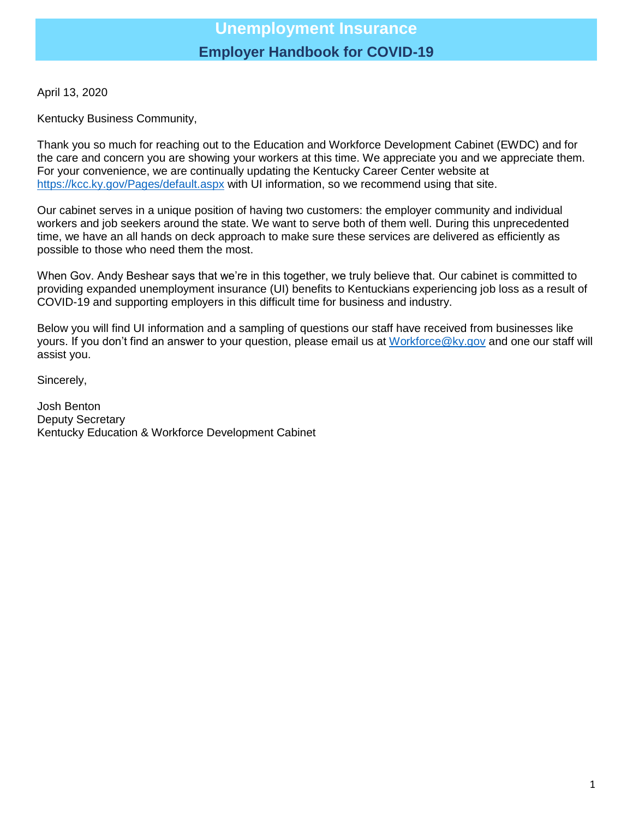April 13, 2020

Kentucky Business Community,

Thank you so much for reaching out to the Education and Workforce Development Cabinet (EWDC) and for the care and concern you are showing your workers at this time. We appreciate you and we appreciate them. For your convenience, we are continually updating the Kentucky Career Center website at <https://kcc.ky.gov/Pages/default.aspx> with UI information, so we recommend using that site.

Our cabinet serves in a unique position of having two customers: the employer community and individual workers and job seekers around the state. We want to serve both of them well. During this unprecedented time, we have an all hands on deck approach to make sure these services are delivered as efficiently as possible to those who need them the most.

When Gov. Andy Beshear says that we're in this together, we truly believe that. Our cabinet is committed to providing expanded unemployment insurance (UI) benefits to Kentuckians experiencing job loss as a result of COVID-19 and supporting employers in this difficult time for business and industry.

Below you will find UI information and a sampling of questions our staff have received from businesses like yours. If you don't find an answer to your question, please email us at [Workforce@ky.gov](mailto:Workforce@ky.gov) and one our staff will assist you.

Sincerely,

Josh Benton Deputy Secretary Kentucky Education & Workforce Development Cabinet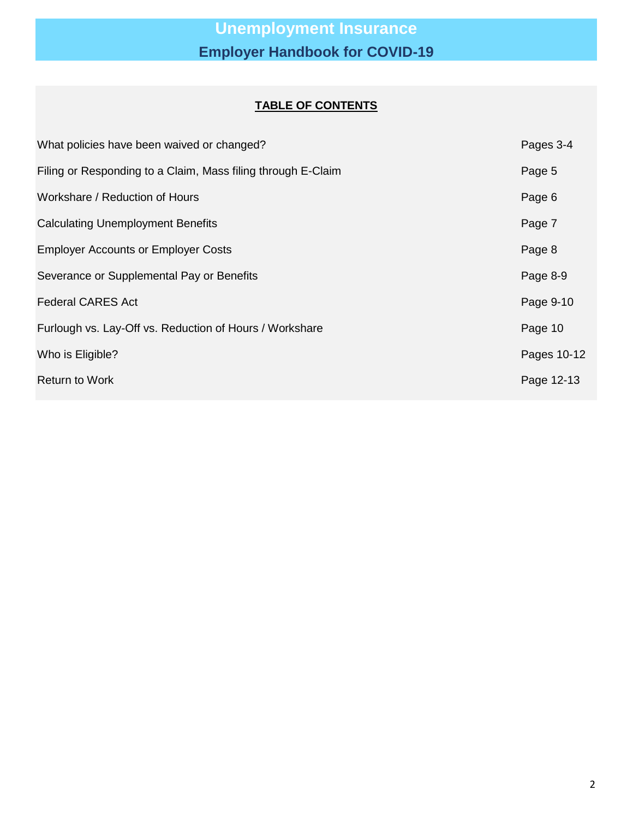### **TABLE OF CONTENTS**

| What policies have been waived or changed?                   | Pages 3-4   |
|--------------------------------------------------------------|-------------|
| Filing or Responding to a Claim, Mass filing through E-Claim | Page 5      |
| Workshare / Reduction of Hours                               | Page 6      |
| <b>Calculating Unemployment Benefits</b>                     | Page 7      |
| <b>Employer Accounts or Employer Costs</b>                   | Page 8      |
| Severance or Supplemental Pay or Benefits                    | Page 8-9    |
| <b>Federal CARES Act</b>                                     | Page 9-10   |
| Furlough vs. Lay-Off vs. Reduction of Hours / Workshare      | Page 10     |
| Who is Eligible?                                             | Pages 10-12 |
| <b>Return to Work</b>                                        | Page 12-13  |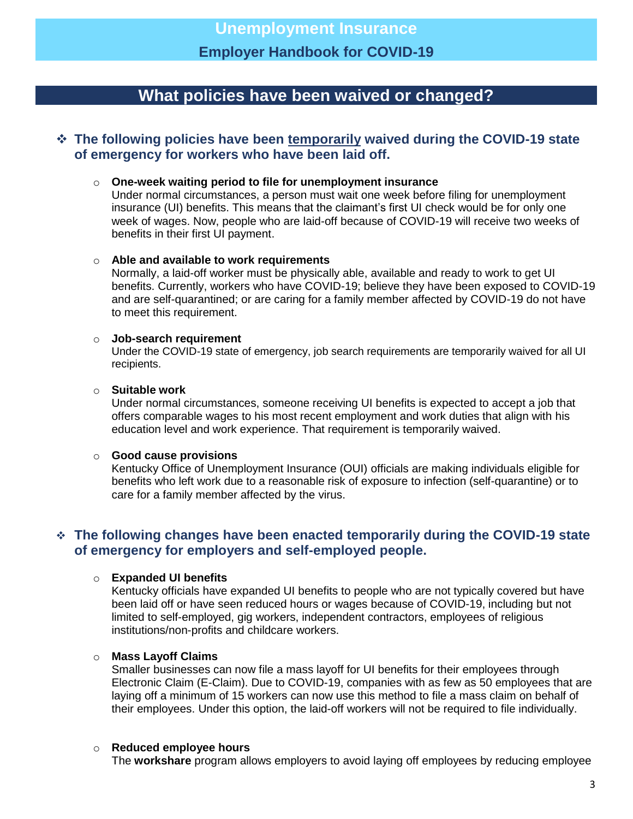## **What policies have been waived or changed?**

### **The following policies have been temporarily waived during the COVID-19 state of emergency for workers who have been laid off.**

#### o **One-week waiting period to file for unemployment insurance**

Under normal circumstances, a person must wait one week before filing for unemployment insurance (UI) benefits. This means that the claimant's first UI check would be for only one week of wages. Now, people who are laid-off because of COVID-19 will receive two weeks of benefits in their first UI payment.

#### o **Able and available to work requirements**

Normally, a laid-off worker must be physically able, available and ready to work to get UI benefits. Currently, workers who have COVID-19; believe they have been exposed to COVID-19 and are self-quarantined; or are caring for a family member affected by COVID-19 do not have to meet this requirement.

#### o **Job-search requirement**

Under the COVID-19 state of emergency, job search requirements are temporarily waived for all UI recipients.

#### o **Suitable work**

Under normal circumstances, someone receiving UI benefits is expected to accept a job that offers comparable wages to his most recent employment and work duties that align with his education level and work experience. That requirement is temporarily waived.

#### o **Good cause provisions**

Kentucky Office of Unemployment Insurance (OUI) officials are making individuals eligible for benefits who left work due to a reasonable risk of exposure to infection (self-quarantine) or to care for a family member affected by the virus.

### **The following changes have been enacted temporarily during the COVID-19 state of emergency for employers and self-employed people.**

#### o **Expanded UI benefits**

Kentucky officials have expanded UI benefits to people who are not typically covered but have been laid off or have seen reduced hours or wages because of COVID-19, including but not limited to self-employed, gig workers, independent contractors, employees of religious institutions/non-profits and childcare workers.

#### o **Mass Layoff Claims**

Smaller businesses can now file a mass layoff for UI benefits for their employees through Electronic Claim (E-Claim). Due to COVID-19, companies with as few as 50 employees that are laying off a minimum of 15 workers can now use this method to file a mass claim on behalf of their employees. Under this option, the laid-off workers will not be required to file individually.

#### o **Reduced employee hours**

The **workshare** program allows employers to avoid laying off employees by reducing employee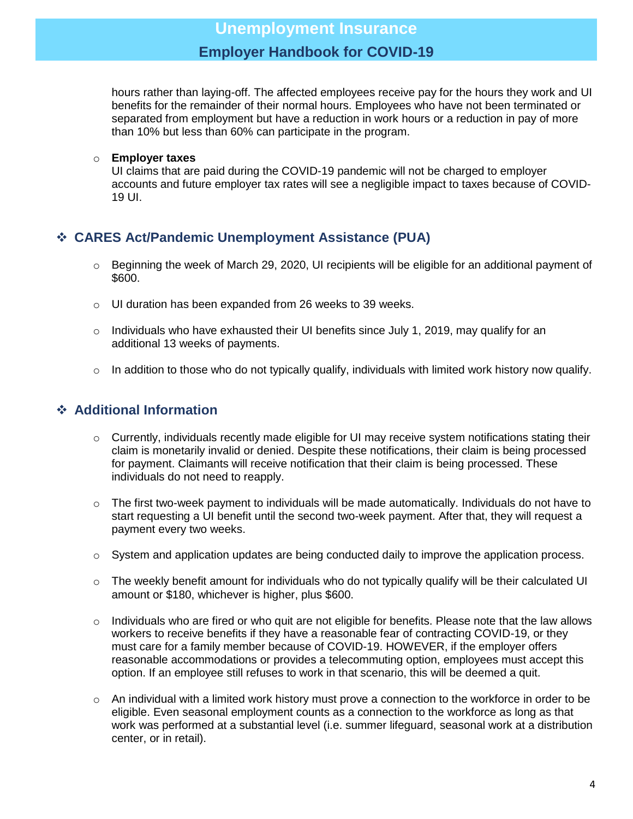hours rather than laying-off. The affected employees receive pay for the hours they work and UI benefits for the remainder of their normal hours. Employees who have not been terminated or separated from employment but have a reduction in work hours or a reduction in pay of more than 10% but less than 60% can participate in the program.

#### o **Employer taxes**

UI claims that are paid during the COVID-19 pandemic will not be charged to employer accounts and future employer tax rates will see a negligible impact to taxes because of COVID-19 UI.

### **CARES Act/Pandemic Unemployment Assistance (PUA)**

- $\circ$  Beginning the week of March 29, 2020, UI recipients will be eligible for an additional payment of \$600.
- o UI duration has been expanded from 26 weeks to 39 weeks.
- $\circ$  Individuals who have exhausted their UI benefits since July 1, 2019, may qualify for an additional 13 weeks of payments.
- $\circ$  In addition to those who do not typically qualify, individuals with limited work history now qualify.

### **Additional Information**

- o Currently, individuals recently made eligible for UI may receive system notifications stating their claim is monetarily invalid or denied. Despite these notifications, their claim is being processed for payment. Claimants will receive notification that their claim is being processed. These individuals do not need to reapply.
- $\circ$  The first two-week payment to individuals will be made automatically. Individuals do not have to start requesting a UI benefit until the second two-week payment. After that, they will request a payment every two weeks.
- o System and application updates are being conducted daily to improve the application process.
- $\circ$  The weekly benefit amount for individuals who do not typically qualify will be their calculated UI amount or \$180, whichever is higher, plus \$600.
- $\circ$  Individuals who are fired or who quit are not eligible for benefits. Please note that the law allows workers to receive benefits if they have a reasonable fear of contracting COVID-19, or they must care for a family member because of COVID-19. HOWEVER, if the employer offers reasonable accommodations or provides a telecommuting option, employees must accept this option. If an employee still refuses to work in that scenario, this will be deemed a quit.
- $\circ$  An individual with a limited work history must prove a connection to the workforce in order to be eligible. Even seasonal employment counts as a connection to the workforce as long as that work was performed at a substantial level (i.e. summer lifeguard, seasonal work at a distribution center, or in retail).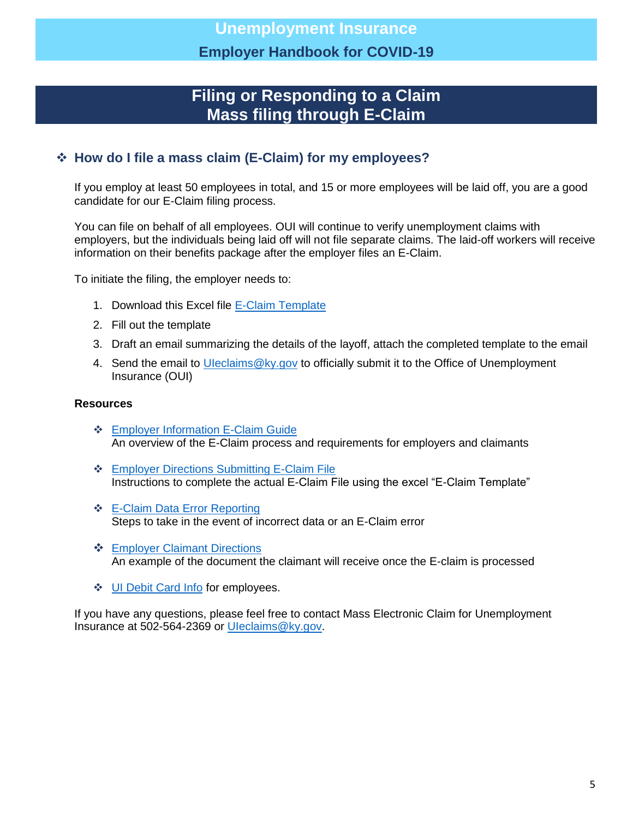## **Filing or Responding to a Claim Mass filing through E-Claim**

### **How do I file a mass claim (E-Claim) for my employees?**

If you employ at least 50 employees in total, and 15 or more employees will be laid off, you are a good candidate for our E-Claim filing process.

You can file on behalf of all employees. OUI will continue to verify unemployment claims with employers, but the individuals being laid off will not file separate claims. The laid-off workers will receive information on their benefits package after the employer files an E-Claim.

To initiate the filing, the employer needs to:

- 1. Download this Excel file [E-Claim Template](https://kydev.my.salesforce.com/sfc/p/t00000004X3h/a/t00000008Nba/RlGFyrMwf2JkTPESejBd.DT_Jh989s32q9ovW1kfF4M)
- 2. Fill out the template
- 3. Draft an email summarizing the details of the layoff, attach the completed template to the email
- 4. Send the email to *Uleclaims@ky.gov* to officially submit it to the Office of Unemployment Insurance (OUI)

#### **Resources**

- **❖** Employer Information E-Claim Guide An overview of the E-Claim process and requirements for employers and claimants
- [Employer Directions Submitting E-Claim File](https://kydev.my.salesforce.com/sfc/p/t00000004X3h/a/t00000008Nbp/ADarcVGwy_OmEvpbta20.c3zD4ITdPBhWWzfuH3bXJM) Instructions to complete the actual E-Claim File using the excel "E-Claim Template"
- **❖** E-Claim Data Error Reporting Steps to take in the event of incorrect data or an E-Claim error
- **❖** [Employer Claimant Directions](https://kydev.my.salesforce.com/sfc/p/t00000004X3h/a/t00000008Nbk/Y78_fwTv1RiwqUI2dfohBWmCgjk0hv_iPTCjFo6aW38) An example of the document the claimant will receive once the E-claim is processed
- ❖ [UI Debit Card Info](https://kydev.my.salesforce.com/sfc/p/t00000004X3h/a/t00000008Nbz/MQpwI.LYo_nLfJ.3MShsiXLjQivDS5wefYQbGb5oZIs) for employees.

If you have any questions, please feel free to contact Mass Electronic Claim for Unemployment Insurance at 502-564-2369 or [UIeclaims@ky.gov.](mailto:UIeclaims@ky.gov)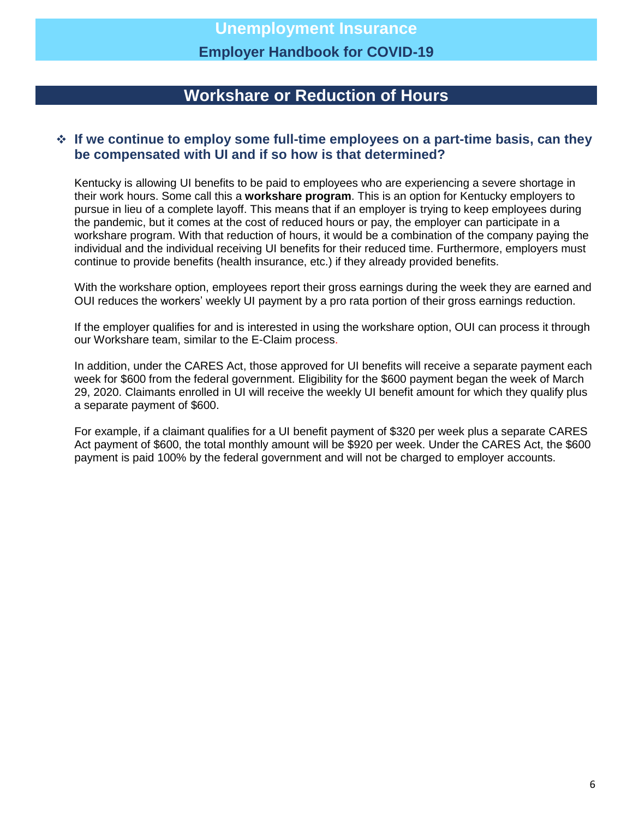## **Workshare or Reduction of Hours**

### **If we continue to employ some full-time employees on a part-time basis, can they be compensated with UI and if so how is that determined?**

Kentucky is allowing UI benefits to be paid to employees who are experiencing a severe shortage in their work hours. Some call this a **workshare program**. This is an option for Kentucky employers to pursue in lieu of a complete layoff. This means that if an employer is trying to keep employees during the pandemic, but it comes at the cost of reduced hours or pay, the employer can participate in a workshare program. With that reduction of hours, it would be a combination of the company paying the individual and the individual receiving UI benefits for their reduced time. Furthermore, employers must continue to provide benefits (health insurance, etc.) if they already provided benefits.

With the workshare option, employees report their gross earnings during the week they are earned and OUI reduces the workers' weekly UI payment by a pro rata portion of their gross earnings reduction.

If the employer qualifies for and is interested in using the workshare option, OUI can process it through our Workshare team, similar to the E-Claim process.

In addition, under the CARES Act, those approved for UI benefits will receive a separate payment each week for \$600 from the federal government. Eligibility for the \$600 payment began the week of March 29, 2020. Claimants enrolled in UI will receive the weekly UI benefit amount for which they qualify plus a separate payment of \$600.

For example, if a claimant qualifies for a UI benefit payment of \$320 per week plus a separate CARES Act payment of \$600, the total monthly amount will be \$920 per week. Under the CARES Act, the \$600 payment is paid 100% by the federal government and will not be charged to employer accounts.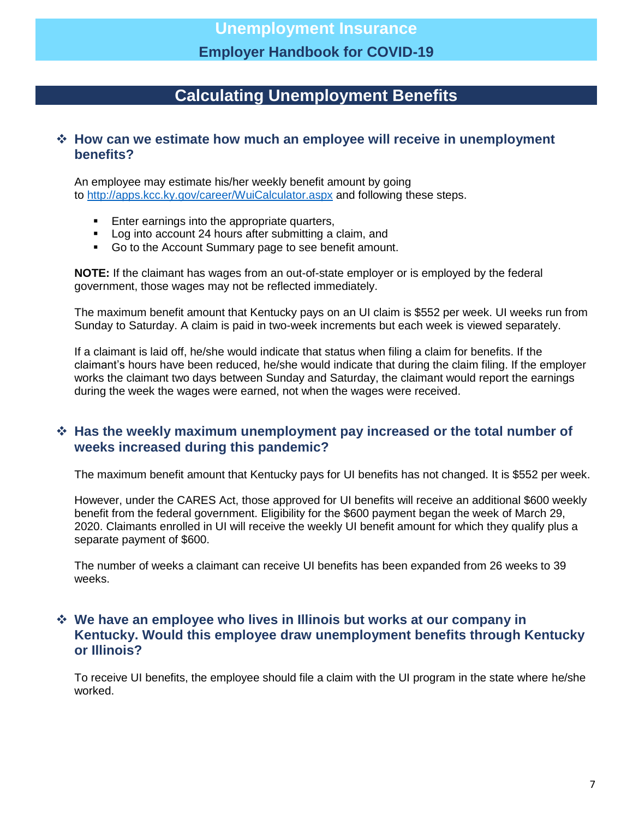## **Calculating Unemployment Benefits**

### **How can we estimate how much an employee will receive in unemployment benefits?**

An employee may estimate his/her weekly benefit amount by going to <http://apps.kcc.ky.gov/career/WuiCalculator.aspx> and following these steps.

- **Enter earnings into the appropriate quarters,**
- Log into account 24 hours after submitting a claim, and
- Go to the Account Summary page to see benefit amount.

**NOTE:** If the claimant has wages from an out-of-state employer or is employed by the federal government, those wages may not be reflected immediately.

The maximum benefit amount that Kentucky pays on an UI claim is \$552 per week. UI weeks run from Sunday to Saturday. A claim is paid in two-week increments but each week is viewed separately.

If a claimant is laid off, he/she would indicate that status when filing a claim for benefits. If the claimant's hours have been reduced, he/she would indicate that during the claim filing. If the employer works the claimant two days between Sunday and Saturday, the claimant would report the earnings during the week the wages were earned, not when the wages were received.

### **Has the weekly maximum unemployment pay increased or the total number of weeks increased during this pandemic?**

The maximum benefit amount that Kentucky pays for UI benefits has not changed. It is \$552 per week.

However, under the CARES Act, those approved for UI benefits will receive an additional \$600 weekly benefit from the federal government. Eligibility for the \$600 payment began the week of March 29, 2020. Claimants enrolled in UI will receive the weekly UI benefit amount for which they qualify plus a separate payment of \$600.

The number of weeks a claimant can receive UI benefits has been expanded from 26 weeks to 39 weeks.

### **We have an employee who lives in Illinois but works at our company in Kentucky. Would this employee draw unemployment benefits through Kentucky or Illinois?**

To receive UI benefits, the employee should file a claim with the UI program in the state where he/she worked.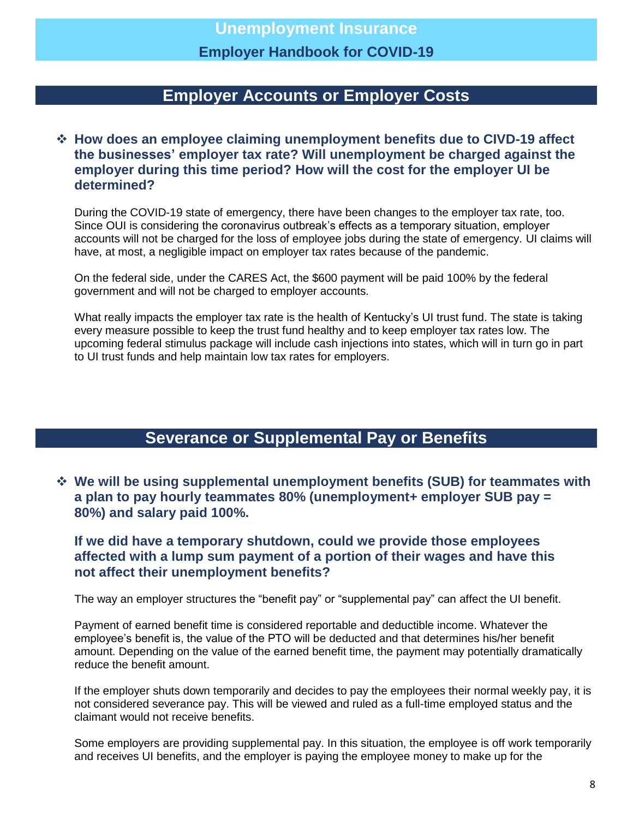## **Employer Accounts or Employer Costs**

### **How does an employee claiming unemployment benefits due to CIVD-19 affect the businesses' employer tax rate? Will unemployment be charged against the employer during this time period? How will the cost for the employer UI be determined?**

During the COVID-19 state of emergency, there have been changes to the employer tax rate, too. Since OUI is considering the coronavirus outbreak's effects as a temporary situation, employer accounts will not be charged for the loss of employee jobs during the state of emergency. UI claims will have, at most, a negligible impact on employer tax rates because of the pandemic.

On the federal side, under the CARES Act, the \$600 payment will be paid 100% by the federal government and will not be charged to employer accounts.

What really impacts the employer tax rate is the health of Kentucky's UI trust fund. The state is taking every measure possible to keep the trust fund healthy and to keep employer tax rates low. The upcoming federal stimulus package will include cash injections into states, which will in turn go in part to UI trust funds and help maintain low tax rates for employers.

## **Severance or Supplemental Pay or Benefits**

 **We will be using supplemental unemployment benefits (SUB) for teammates with a plan to pay hourly teammates 80% (unemployment+ employer SUB pay = 80%) and salary paid 100%.**

**If we did have a temporary shutdown, could we provide those employees affected with a lump sum payment of a portion of their wages and have this not affect their unemployment benefits?**

The way an employer structures the "benefit pay" or "supplemental pay" can affect the UI benefit.

Payment of earned benefit time is considered reportable and deductible income. Whatever the employee's benefit is, the value of the PTO will be deducted and that determines his/her benefit amount. Depending on the value of the earned benefit time, the payment may potentially dramatically reduce the benefit amount.

If the employer shuts down temporarily and decides to pay the employees their normal weekly pay, it is not considered severance pay. This will be viewed and ruled as a full-time employed status and the claimant would not receive benefits.

Some employers are providing supplemental pay. In this situation, the employee is off work temporarily and receives UI benefits, and the employer is paying the employee money to make up for the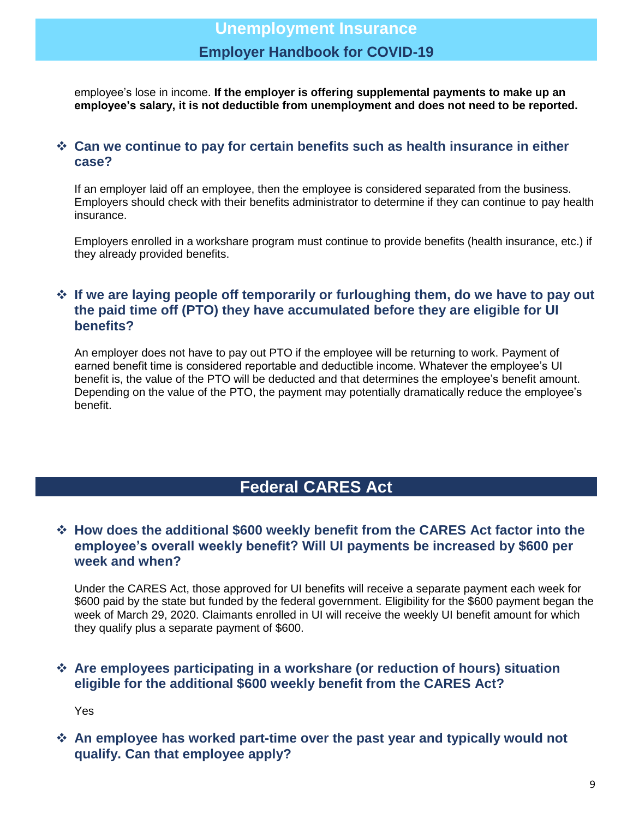employee's lose in income. **If the employer is offering supplemental payments to make up an employee's salary, it is not deductible from unemployment and does not need to be reported.**

### **Can we continue to pay for certain benefits such as health insurance in either case?**

If an employer laid off an employee, then the employee is considered separated from the business. Employers should check with their benefits administrator to determine if they can continue to pay health insurance.

Employers enrolled in a workshare program must continue to provide benefits (health insurance, etc.) if they already provided benefits.

### **If we are laying people off temporarily or furloughing them, do we have to pay out the paid time off (PTO) they have accumulated before they are eligible for UI benefits?**

An employer does not have to pay out PTO if the employee will be returning to work. Payment of earned benefit time is considered reportable and deductible income. Whatever the employee's UI benefit is, the value of the PTO will be deducted and that determines the employee's benefit amount. Depending on the value of the PTO, the payment may potentially dramatically reduce the employee's benefit.

## **Federal CARES Act**

### **How does the additional \$600 weekly benefit from the CARES Act factor into the employee's overall weekly benefit? Will UI payments be increased by \$600 per week and when?**

Under the CARES Act, those approved for UI benefits will receive a separate payment each week for \$600 paid by the state but funded by the federal government. Eligibility for the \$600 payment began the week of March 29, 2020. Claimants enrolled in UI will receive the weekly UI benefit amount for which they qualify plus a separate payment of \$600.

### **Are employees participating in a workshare (or reduction of hours) situation eligible for the additional \$600 weekly benefit from the CARES Act?**

Yes

 **An employee has worked part-time over the past year and typically would not qualify. Can that employee apply?**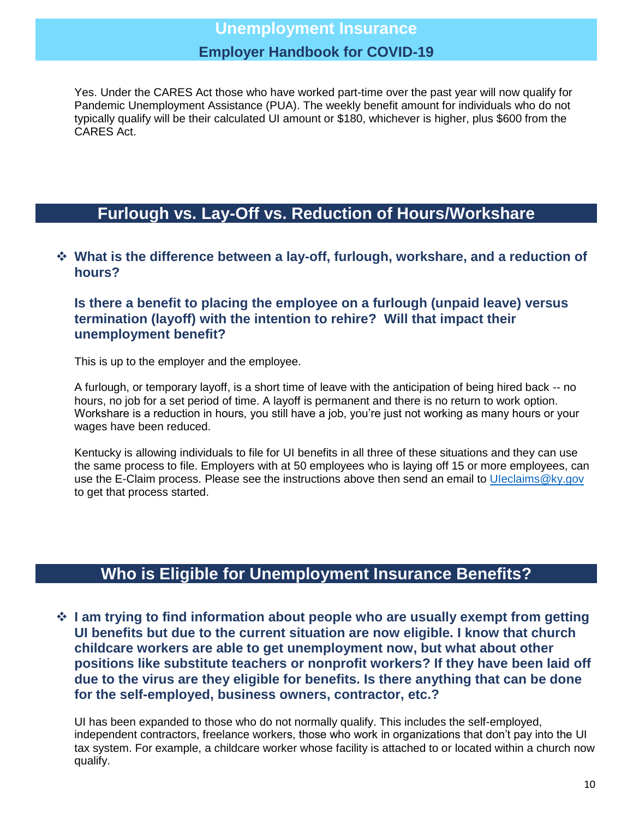Yes. Under the CARES Act those who have worked part-time over the past year will now qualify for Pandemic Unemployment Assistance (PUA). The weekly benefit amount for individuals who do not typically qualify will be their calculated UI amount or \$180, whichever is higher, plus \$600 from the CARES Act.

## **Furlough vs. Lay-Off vs. Reduction of Hours/Workshare**

### **What is the difference between a lay-off, furlough, workshare, and a reduction of hours?**

### **Is there a benefit to placing the employee on a furlough (unpaid leave) versus termination (layoff) with the intention to rehire? Will that impact their unemployment benefit?**

This is up to the employer and the employee.

A furlough, or temporary layoff, is a short time of leave with the anticipation of being hired back -- no hours, no job for a set period of time. A layoff is permanent and there is no return to work option. Workshare is a reduction in hours, you still have a job, you're just not working as many hours or your wages have been reduced.

Kentucky is allowing individuals to file for UI benefits in all three of these situations and they can use the same process to file. Employers with at 50 employees who is laying off 15 or more employees, can use the E-Claim process. Please see the instructions above then send an email to Uleclaims@ky.gov to get that process started.

## **Who is Eligible for Unemployment Insurance Benefits?**

 **I am trying to find information about people who are usually exempt from getting UI benefits but due to the current situation are now eligible. I know that church childcare workers are able to get unemployment now, but what about other positions like substitute teachers or nonprofit workers? If they have been laid off due to the virus are they eligible for benefits. Is there anything that can be done for the self-employed, business owners, contractor, etc.?**

UI has been expanded to those who do not normally qualify. This includes the self-employed, independent contractors, freelance workers, those who work in organizations that don't pay into the UI tax system. For example, a childcare worker whose facility is attached to or located within a church now qualify.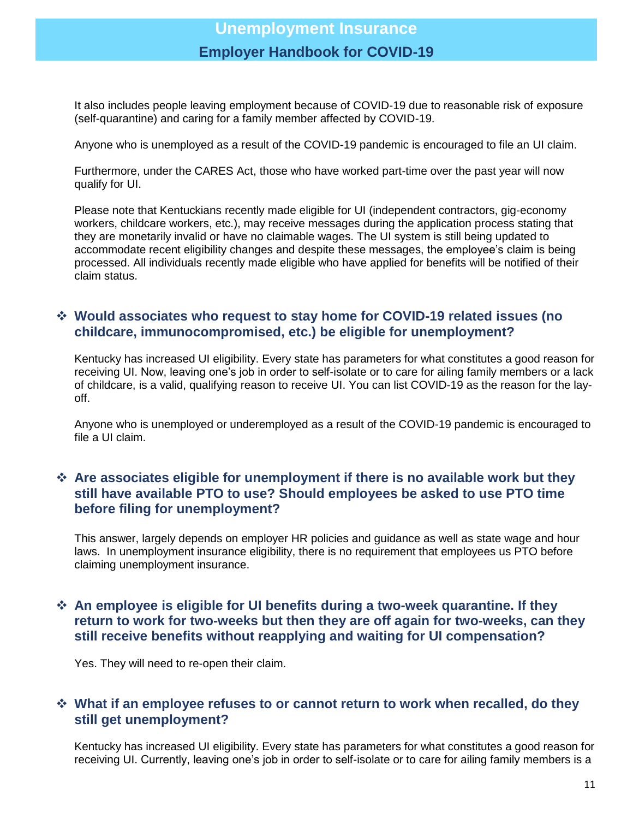It also includes people leaving employment because of COVID-19 due to reasonable risk of exposure (self-quarantine) and caring for a family member affected by COVID-19.

Anyone who is unemployed as a result of the COVID-19 pandemic is encouraged to file an UI claim.

Furthermore, under the CARES Act, those who have worked part-time over the past year will now qualify for UI.

Please note that Kentuckians recently made eligible for UI (independent contractors, gig-economy workers, childcare workers, etc.), may receive messages during the application process stating that they are monetarily invalid or have no claimable wages. The UI system is still being updated to accommodate recent eligibility changes and despite these messages, the employee's claim is being processed. All individuals recently made eligible who have applied for benefits will be notified of their claim status.

### **Would associates who request to stay home for COVID-19 related issues (no childcare, immunocompromised, etc.) be eligible for unemployment?**

Kentucky has increased UI eligibility. Every state has parameters for what constitutes a good reason for receiving UI. Now, leaving one's job in order to self-isolate or to care for ailing family members or a lack of childcare, is a valid, qualifying reason to receive UI. You can list COVID-19 as the reason for the layoff.

Anyone who is unemployed or underemployed as a result of the COVID-19 pandemic is encouraged to file a UI claim.

### **Are associates eligible for unemployment if there is no available work but they still have available PTO to use? Should employees be asked to use PTO time before filing for unemployment?**

This answer, largely depends on employer HR policies and guidance as well as state wage and hour laws. In unemployment insurance eligibility, there is no requirement that employees us PTO before claiming unemployment insurance.

### **An employee is eligible for UI benefits during a two-week quarantine. If they return to work for two-weeks but then they are off again for two-weeks, can they still receive benefits without reapplying and waiting for UI compensation?**

Yes. They will need to re-open their claim.

### **What if an employee refuses to or cannot return to work when recalled, do they still get unemployment?**

Kentucky has increased UI eligibility. Every state has parameters for what constitutes a good reason for receiving UI. Currently, leaving one's job in order to self-isolate or to care for ailing family members is a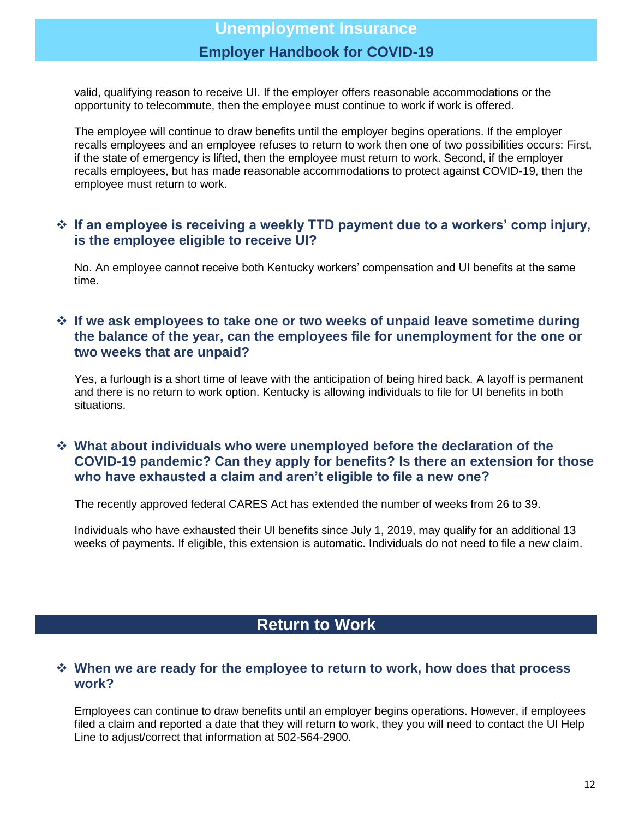valid, qualifying reason to receive UI. If the employer offers reasonable accommodations or the opportunity to telecommute, then the employee must continue to work if work is offered.

The employee will continue to draw benefits until the employer begins operations. If the employer recalls employees and an employee refuses to return to work then one of two possibilities occurs: First, if the state of emergency is lifted, then the employee must return to work. Second, if the employer recalls employees, but has made reasonable accommodations to protect against COVID-19, then the employee must return to work.

### **If an employee is receiving a weekly TTD payment due to a workers' comp injury, is the employee eligible to receive UI?**

No. An employee cannot receive both Kentucky workers' compensation and UI benefits at the same time.

### **If we ask employees to take one or two weeks of unpaid leave sometime during the balance of the year, can the employees file for unemployment for the one or two weeks that are unpaid?**

Yes, a furlough is a short time of leave with the anticipation of being hired back. A layoff is permanent and there is no return to work option. Kentucky is allowing individuals to file for UI benefits in both situations.

### **What about individuals who were unemployed before the declaration of the COVID-19 pandemic? Can they apply for benefits? Is there an extension for those who have exhausted a claim and aren't eligible to file a new one?**

The recently approved federal CARES Act has extended the number of weeks from 26 to 39.

Individuals who have exhausted their UI benefits since July 1, 2019, may qualify for an additional 13 weeks of payments. If eligible, this extension is automatic. Individuals do not need to file a new claim.

## **Return to Work**

### **When we are ready for the employee to return to work, how does that process work?**

Employees can continue to draw benefits until an employer begins operations. However, if employees filed a claim and reported a date that they will return to work, they you will need to contact the UI Help Line to adjust/correct that information at 502-564-2900.